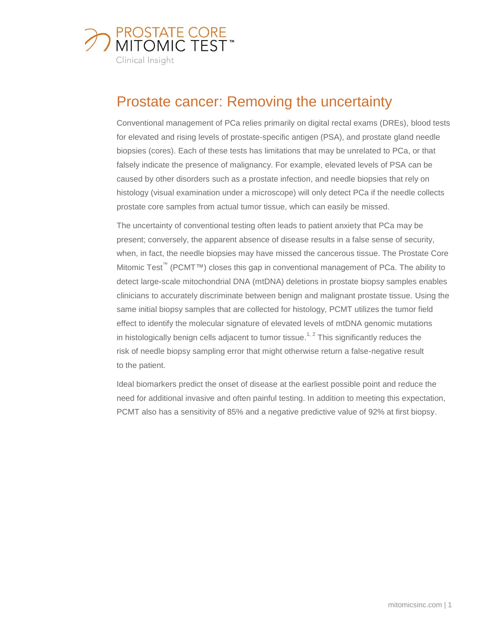

# Prostate cancer: Removing the uncertainty

Conventional management of PCa relies primarily on digital rectal exams (DREs), blood tests for elevated and rising levels of prostate-specific antigen (PSA), and prostate gland needle biopsies (cores). Each of these tests has limitations that may be unrelated to PCa, or that falsely indicate the presence of malignancy. For example, elevated levels of PSA can be caused by other disorders such as a prostate infection, and needle biopsies that rely on histology (visual examination under a microscope) will only detect PCa if the needle collects prostate core samples from actual tumor tissue, which can easily be missed.

The uncertainty of conventional testing often leads to patient anxiety that PCa may be present; conversely, the apparent absence of disease results in a false sense of security, when, in fact, the needle biopsies may have missed the cancerous tissue. The Prostate Core Mitomic Test<sup>™</sup> (PCMT™) closes this gap in conventional management of PCa. The ability to detect large-scale mitochondrial DNA (mtDNA) deletions in prostate biopsy samples enables clinicians to accurately discriminate between benign and malignant prostate tissue. Using the same initial biopsy samples that are collected for histology, PCMT utilizes the tumor field effect to identify the molecular signature of elevated levels of mtDNA genomic mutations in histologically benign cells adjacent to tumor tissue.<sup>1, 2</sup> This significantly reduces the risk of needle biopsy sampling error that might otherwise return a false-negative result to the patient.

Ideal biomarkers predict the onset of disease at the earliest possible point and reduce the need for additional invasive and often painful testing. In addition to meeting this expectation, PCMT also has a sensitivity of 85% and a negative predictive value of 92% at first biopsy.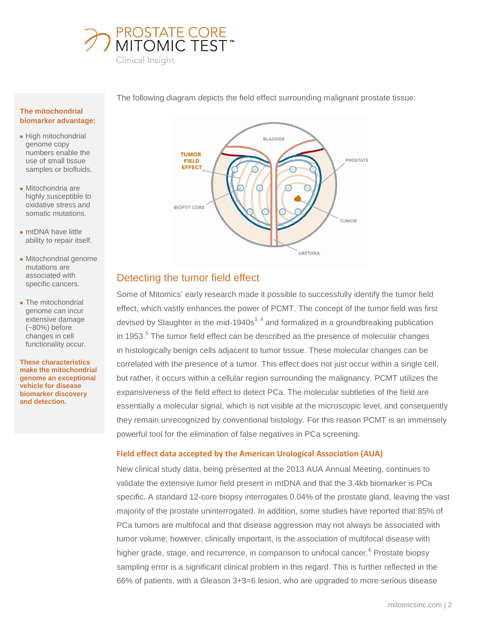



The following diagram depicts the field effect surrounding malignant prostate tissue:

#### **The mitochondrial biomarker advantage:**

- High mitochondrial genome copy numbers enable the use of small tissue samples or biofluids.
- Mitochondria are highly susceptible to oxidative stress and somatic mutations.
- mtDNA have little ability to repair itself.
- Mitochondrial genome mutations are associated with specific cancers.
- The mitochondrial genome can incur extensive damage (~80%) before changes in cell functionality occur.

**These characteristics make the mitochondrial genome an exceptional vehicle for disease biomarker discovery and detection.**

# Detecting the tumor field effect

Some of Mitomics' early research made it possible to successfully identify the tumor field effect, which vastly enhances the power of PCMT. The concept of the tumor field was first devised by Slaughter in the mid-1940s<sup>3, 4</sup> and formalized in a groundbreaking publication in 1953. $5$  The tumor field effect can be described as the presence of molecular changes in histologically benign cells adjacent to tumor tissue. These molecular changes can be correlated with the presence of a tumor. This effect does not just occur within a single cell, but rather, it occurs within a cellular region surrounding the malignancy. PCMT utilizes the expansiveness of the field effect to detect PCa. The molecular subtleties of the field are essentially a molecular signal, which is not visible at the microscopic level, and consequently they remain unrecognized by conventional histology. For this reason PCMT is an immensely powerful tool for the elimination of false negatives in PCa screening.

#### **Field effect data accepted by the American Urological Association (AUA)**

New clinical study data, being presented at the 2013 AUA Annual Meeting, continues to validate the extensive tumor field present in mtDNA and that the 3.4kb biomarker is PCa specific. A standard 12-core biopsy interrogates 0.04% of the prostate gland, leaving the vast majority of the prostate uninterrogated. In addition, some studies have reported that 85% of PCa tumors are multifocal and that disease aggression may not always be associated with tumor volume; however, clinically important, is the association of multifocal disease with higher grade, stage, and recurrence, in comparison to unifocal cancer.<sup>6</sup> Prostate biopsy sampling error is a significant clinical problem in this regard. This is further reflected in the 66% of patients, with a Gleason 3+3=6 lesion, who are upgraded to more serious disease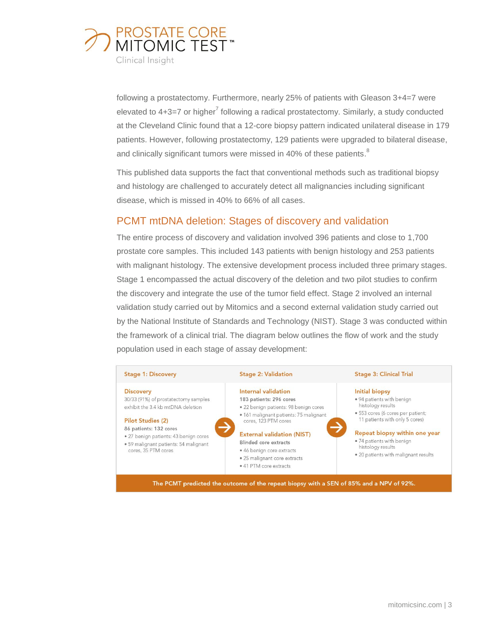

following a prostatectomy. Furthermore, nearly 25% of patients with Gleason 3+4=7 were elevated to 4+3=7 or higher<sup>7</sup> following a radical prostatectomy. Similarly, a study conducted at the Cleveland Clinic found that a 12-core biopsy pattern indicated unilateral disease in 179 patients. However, following prostatectomy, 129 patients were upgraded to bilateral disease, and clinically significant tumors were missed in 40% of these patients. ${}^{8}$ 

This published data supports the fact that conventional methods such as traditional biopsy and histology are challenged to accurately detect all malignancies including significant disease, which is missed in 40% to 66% of all cases.

# PCMT mtDNA deletion: Stages of discovery and validation

The entire process of discovery and validation involved 396 patients and close to 1,700 prostate core samples. This included 143 patients with benign histology and 253 patients with malignant histology. The extensive development process included three primary stages. Stage 1 encompassed the actual discovery of the deletion and two pilot studies to confirm the discovery and integrate the use of the tumor field effect. Stage 2 involved an internal validation study carried out by Mitomics and a second external validation study carried out by the National Institute of Standards and Technology (NIST). Stage 3 was conducted within the framework of a clinical trial. The diagram below outlines the flow of work and the study population used in each stage of assay development:



The PCMT predicted the outcome of the repeat biopsy with a SEN of 85% and a NPV of 92%.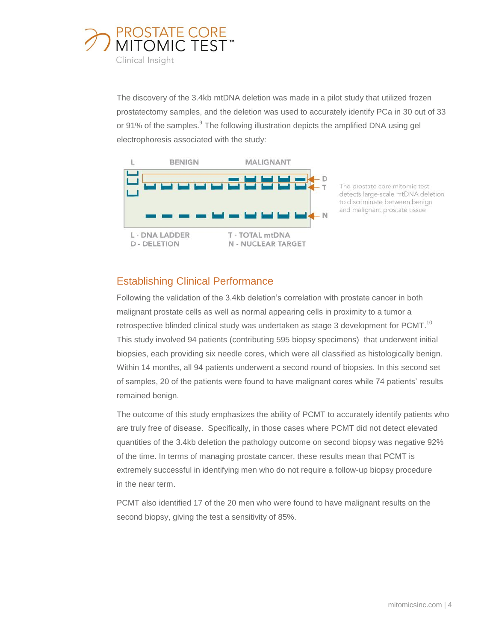

The discovery of the 3.4kb mtDNA deletion was made in a pilot study that utilized frozen prostatectomy samples, and the deletion was used to accurately identify PCa in 30 out of 33 or 91% of the samples.<sup>9</sup> The following illustration depicts the amplified DNA using gel electrophoresis associated with the study:





## Establishing Clinical Performance

Following the validation of the 3.4kb deletion's correlation with prostate cancer in both malignant prostate cells as well as normal appearing cells in proximity to a tumor a retrospective blinded clinical study was undertaken as stage 3 development for PCMT.<sup>10</sup> This study involved 94 patients (contributing 595 biopsy specimens) that underwent initial biopsies, each providing six needle cores, which were all classified as histologically benign. Within 14 months, all 94 patients underwent a second round of biopsies. In this second set of samples, 20 of the patients were found to have malignant cores while 74 patients' results remained benign.

The outcome of this study emphasizes the ability of PCMT to accurately identify patients who are truly free of disease. Specifically, in those cases where PCMT did not detect elevated quantities of the 3.4kb deletion the pathology outcome on second biopsy was negative 92% of the time. In terms of managing prostate cancer, these results mean that PCMT is extremely successful in identifying men who do not require a follow-up biopsy procedure in the near term.

PCMT also identified 17 of the 20 men who were found to have malignant results on the second biopsy, giving the test a sensitivity of 85%.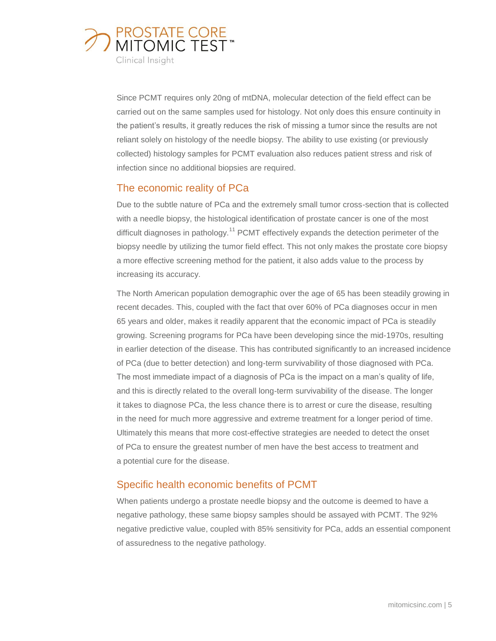

Since PCMT requires only 20ng of mtDNA, molecular detection of the field effect can be carried out on the same samples used for histology. Not only does this ensure continuity in the patient's results, it greatly reduces the risk of missing a tumor since the results are not reliant solely on histology of the needle biopsy. The ability to use existing (or previously collected) histology samples for PCMT evaluation also reduces patient stress and risk of infection since no additional biopsies are required.

### The economic reality of PCa

Due to the subtle nature of PCa and the extremely small tumor cross-section that is collected with a needle biopsy, the histological identification of prostate cancer is one of the most difficult diagnoses in pathology.<sup>11</sup> PCMT effectively expands the detection perimeter of the biopsy needle by utilizing the tumor field effect. This not only makes the prostate core biopsy a more effective screening method for the patient, it also adds value to the process by increasing its accuracy.

The North American population demographic over the age of 65 has been steadily growing in recent decades. This, coupled with the fact that over 60% of PCa diagnoses occur in men 65 years and older, makes it readily apparent that the economic impact of PCa is steadily growing. Screening programs for PCa have been developing since the mid-1970s, resulting in earlier detection of the disease. This has contributed significantly to an increased incidence of PCa (due to better detection) and long-term survivability of those diagnosed with PCa. The most immediate impact of a diagnosis of PCa is the impact on a man's quality of life, and this is directly related to the overall long-term survivability of the disease. The longer it takes to diagnose PCa, the less chance there is to arrest or cure the disease, resulting in the need for much more aggressive and extreme treatment for a longer period of time. Ultimately this means that more cost-effective strategies are needed to detect the onset of PCa to ensure the greatest number of men have the best access to treatment and a potential cure for the disease.

# Specific health economic benefits of PCMT

When patients undergo a prostate needle biopsy and the outcome is deemed to have a negative pathology, these same biopsy samples should be assayed with PCMT. The 92% negative predictive value, coupled with 85% sensitivity for PCa, adds an essential component of assuredness to the negative pathology.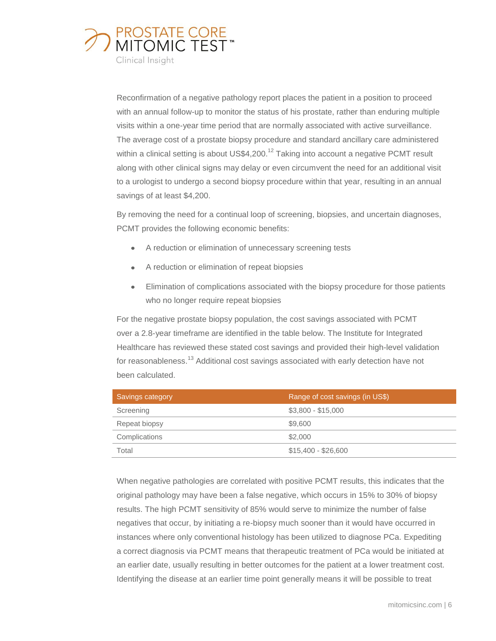

Reconfirmation of a negative pathology report places the patient in a position to proceed with an annual follow-up to monitor the status of his prostate, rather than enduring multiple visits within a one-year time period that are normally associated with active surveillance. The average cost of a prostate biopsy procedure and standard ancillary care administered within a clinical setting is about US\$4,200.<sup>12</sup> Taking into account a negative PCMT result along with other clinical signs may delay or even circumvent the need for an additional visit to a urologist to undergo a second biopsy procedure within that year, resulting in an annual savings of at least \$4,200.

By removing the need for a continual loop of screening, biopsies, and uncertain diagnoses, PCMT provides the following economic benefits:

- A reduction or elimination of unnecessary screening tests
- A reduction or elimination of repeat biopsies
- Elimination of complications associated with the biopsy procedure for those patients  $\bullet$ who no longer require repeat biopsies

For the negative prostate biopsy population, the cost savings associated with PCMT over a 2.8-year timeframe are identified in the table below. The Institute for Integrated Healthcare has reviewed these stated cost savings and provided their high-level validation for reasonableness.<sup>13</sup> Additional cost savings associated with early detection have not been calculated.

| Savings category | Range of cost savings (in US\$) |
|------------------|---------------------------------|
| Screening        | $$3,800 - $15,000$              |
| Repeat biopsy    | \$9,600                         |
| Complications    | \$2,000                         |
| Total            | $$15,400 - $26,600$             |

When negative pathologies are correlated with positive PCMT results, this indicates that the original pathology may have been a false negative, which occurs in 15% to 30% of biopsy results. The high PCMT sensitivity of 85% would serve to minimize the number of false negatives that occur, by initiating a re-biopsy much sooner than it would have occurred in instances where only conventional histology has been utilized to diagnose PCa. Expediting a correct diagnosis via PCMT means that therapeutic treatment of PCa would be initiated at an earlier date, usually resulting in better outcomes for the patient at a lower treatment cost. Identifying the disease at an earlier time point generally means it will be possible to treat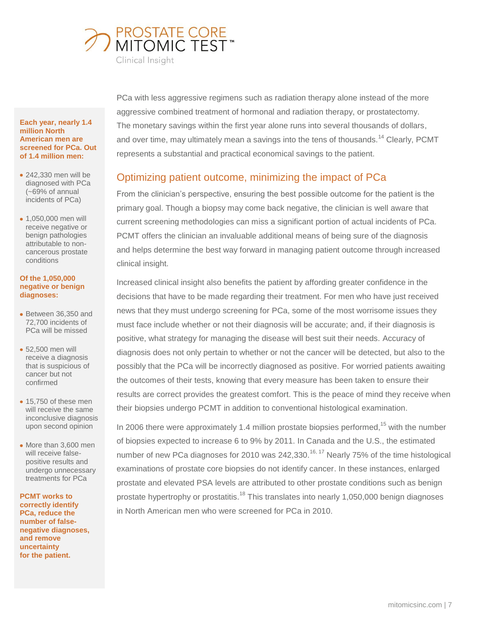

#### **Each year, nearly 1.4 million North American men are screened for PCa. Out of 1.4 million men:**

- 242,330 men will be diagnosed with PCa (~69% of annual incidents of PCa)
- 1,050,000 men will receive negative or benign pathologies attributable to noncancerous prostate conditions

#### **Of the 1,050,000 negative or benign diagnoses:**

- Between 36,350 and 72,700 incidents of PCa will be missed
- 52,500 men will receive a diagnosis that is suspicious of cancer but not confirmed
- 15,750 of these men will receive the same inconclusive diagnosis upon second opinion
- More than 3,600 men will receive falsepositive results and undergo unnecessary treatments for PCa

**PCMT works to correctly identify PCa, reduce the number of falsenegative diagnoses, and remove uncertainty for the patient.**

PCa with less aggressive regimens such as radiation therapy alone instead of the more aggressive combined treatment of hormonal and radiation therapy, or prostatectomy. The monetary savings within the first year alone runs into several thousands of dollars, and over time, may ultimately mean a savings into the tens of thousands.<sup>14</sup> Clearly, PCMT represents a substantial and practical economical savings to the patient.

# Optimizing patient outcome, minimizing the impact of PCa

From the clinician's perspective, ensuring the best possible outcome for the patient is the primary goal. Though a biopsy may come back negative, the clinician is well aware that current screening methodologies can miss a significant portion of actual incidents of PCa. PCMT offers the clinician an invaluable additional means of being sure of the diagnosis and helps determine the best way forward in managing patient outcome through increased clinical insight.

Increased clinical insight also benefits the patient by affording greater confidence in the decisions that have to be made regarding their treatment. For men who have just received news that they must undergo screening for PCa, some of the most worrisome issues they must face include whether or not their diagnosis will be accurate; and, if their diagnosis is positive, what strategy for managing the disease will best suit their needs. Accuracy of diagnosis does not only pertain to whether or not the cancer will be detected, but also to the possibly that the PCa will be incorrectly diagnosed as positive. For worried patients awaiting the outcomes of their tests, knowing that every measure has been taken to ensure their results are correct provides the greatest comfort. This is the peace of mind they receive when their biopsies undergo PCMT in addition to conventional histological examination.

In 2006 there were approximately 1.4 million prostate biopsies performed,  $15$  with the number of biopsies expected to increase 6 to 9% by 2011. In Canada and the U.S., the estimated number of new PCa diagnoses for 2010 was 242,330.<sup>16, 17</sup> Nearly 75% of the time histological examinations of prostate core biopsies do not identify cancer. In these instances, enlarged prostate and elevated PSA levels are attributed to other prostate conditions such as benign prostate hypertrophy or prostatitis.<sup>18</sup> This translates into nearly 1,050,000 benign diagnoses in North American men who were screened for PCa in 2010.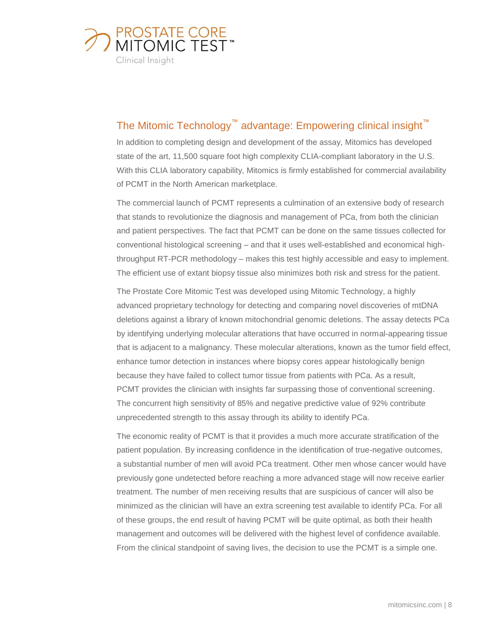

# The Mitomic Technology<sup>™</sup> advantage: Empowering clinical insight<sup>™</sup>

In addition to completing design and development of the assay, Mitomics has developed state of the art, 11,500 square foot high complexity CLIA-compliant laboratory in the U.S. With this CLIA laboratory capability, Mitomics is firmly established for commercial availability of PCMT in the North American marketplace.

The commercial launch of PCMT represents a culmination of an extensive body of research that stands to revolutionize the diagnosis and management of PCa, from both the clinician and patient perspectives. The fact that PCMT can be done on the same tissues collected for conventional histological screening – and that it uses well-established and economical highthroughput RT-PCR methodology – makes this test highly accessible and easy to implement. The efficient use of extant biopsy tissue also minimizes both risk and stress for the patient.

The Prostate Core Mitomic Test was developed using Mitomic Technology, a highly advanced proprietary technology for detecting and comparing novel discoveries of mtDNA deletions against a library of known mitochondrial genomic deletions. The assay detects PCa by identifying underlying molecular alterations that have occurred in normal-appearing tissue that is adjacent to a malignancy. These molecular alterations, known as the tumor field effect, enhance tumor detection in instances where biopsy cores appear histologically benign because they have failed to collect tumor tissue from patients with PCa. As a result, PCMT provides the clinician with insights far surpassing those of conventional screening. The concurrent high sensitivity of 85% and negative predictive value of 92% contribute unprecedented strength to this assay through its ability to identify PCa.

The economic reality of PCMT is that it provides a much more accurate stratification of the patient population. By increasing confidence in the identification of true-negative outcomes, a substantial number of men will avoid PCa treatment. Other men whose cancer would have previously gone undetected before reaching a more advanced stage will now receive earlier treatment. The number of men receiving results that are suspicious of cancer will also be minimized as the clinician will have an extra screening test available to identify PCa. For all of these groups, the end result of having PCMT will be quite optimal, as both their health management and outcomes will be delivered with the highest level of confidence available. From the clinical standpoint of saving lives, the decision to use the PCMT is a simple one.